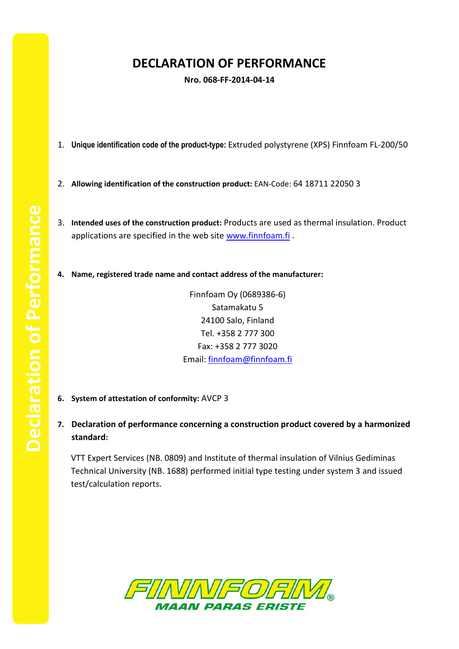## **DECLARATION OF PERFORMANCE**

**Nro. 068-FF-2014-04-14**

- 1. **Unique identification code of the product-type:** Extruded polystyrene (XPS) Finnfoam FL-200/50
- 2. **Allowing identification of the construction product:** EAN-Code: 64 18711 22050 3
- 3. **Intended uses of the construction product:** Products are used as thermal insulation. Product applications are specified in the web site [www.finnfoam.fi](http://www.finnfoam.fi/).
- **4. Name, registered trade name and contact address of the manufacturer:**

Finnfoam Oy (0689386-6) Satamakatu 5 24100 Salo, Finland Tel. +358 2 777 300 Fax: +358 2 777 3020 Email: [finnfoam@finnfoam.fi](mailto:finnfoam@finnfoam.fi)

- **6. System of attestation of conformity:** AVCP 3
- **7. Declaration of performance concerning a construction product covered by a harmonized standard:**

VTT Expert Services (NB. 0809) and Institute of thermal insulation of Vilnius Gediminas Technical University (NB. 1688) performed initial type testing under system 3 and issued test/calculation reports.